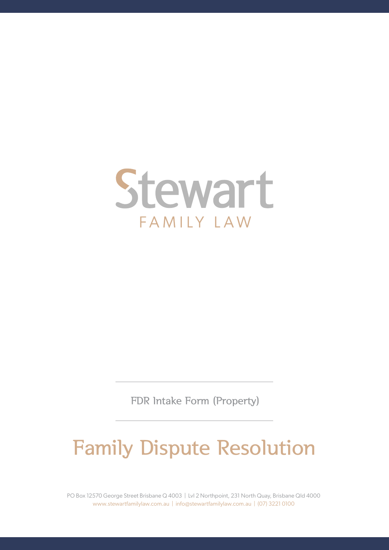

FDR Intake Form (Property)

# Family Dispute Resolution

PO Box 12570 George Street Brisbane Q 4003 | Lvl 2 Northpoint, 231 North Quay, Brisbane Qld 4000 www.stewartfamilylaw.com.au | info@stewartfamilylaw.com.au | (07) 3221 0100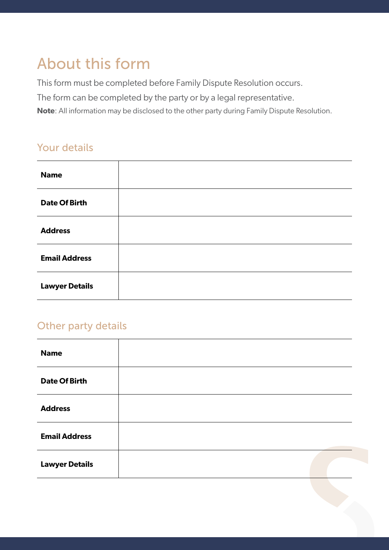# About this form

This form must be completed before Family Dispute Resolution occurs.

The form can be completed by the party or by a legal representative.

**Note**: All information may be disclosed to the other party during Family Dispute Resolution.

#### Your details

| <b>Name</b>           |  |
|-----------------------|--|
| <b>Date Of Birth</b>  |  |
| <b>Address</b>        |  |
| <b>Email Address</b>  |  |
| <b>Lawyer Details</b> |  |

#### Other party details

| <b>Name</b>           |  |  |
|-----------------------|--|--|
| <b>Date Of Birth</b>  |  |  |
| <b>Address</b>        |  |  |
| <b>Email Address</b>  |  |  |
| <b>Lawyer Details</b> |  |  |
|                       |  |  |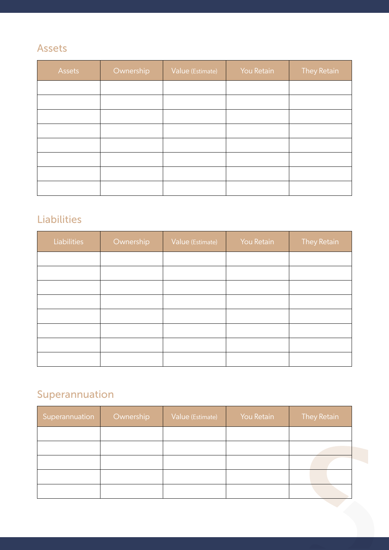# Assets

| Assets | Ownership | Value (Estimate) | You Retain | <b>They Retain</b> |
|--------|-----------|------------------|------------|--------------------|
|        |           |                  |            |                    |
|        |           |                  |            |                    |
|        |           |                  |            |                    |
|        |           |                  |            |                    |
|        |           |                  |            |                    |
|        |           |                  |            |                    |
|        |           |                  |            |                    |
|        |           |                  |            |                    |

# Liabilities

| <b>Liabilities</b> | Ownership | Value (Estimate) | You Retain | <b>They Retain</b> |
|--------------------|-----------|------------------|------------|--------------------|
|                    |           |                  |            |                    |
|                    |           |                  |            |                    |
|                    |           |                  |            |                    |
|                    |           |                  |            |                    |
|                    |           |                  |            |                    |
|                    |           |                  |            |                    |
|                    |           |                  |            |                    |
|                    |           |                  |            |                    |

# Superannuation

| Superannuation | Ownership | Value (Estimate) | You Retain | They Retain |
|----------------|-----------|------------------|------------|-------------|
|                |           |                  |            |             |
|                |           |                  |            |             |
|                |           |                  |            |             |
|                |           |                  |            |             |
|                |           |                  |            |             |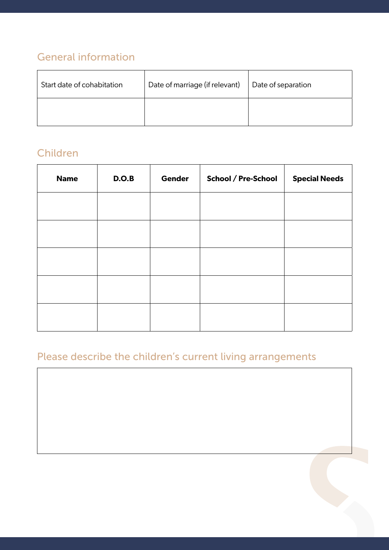# General information

| Start date of cohabitation | Date of marriage (if relevant) | Date of separation |
|----------------------------|--------------------------------|--------------------|
|                            |                                |                    |

# Children

| <b>Name</b> | D.O.B | <b>Gender</b> | School / Pre-School | <b>Special Needs</b> |
|-------------|-------|---------------|---------------------|----------------------|
|             |       |               |                     |                      |
|             |       |               |                     |                      |
|             |       |               |                     |                      |
|             |       |               |                     |                      |
|             |       |               |                     |                      |

# Please describe the children's current living arrangements